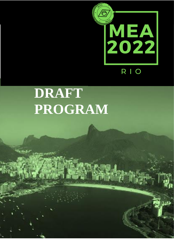

# **DRAFT PROGRAM**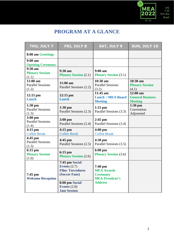

### **PROGRAM AT A GLANCE**

| THU, JULY 7                                     | FRI, JULY 8                                                                                                                            | <b>SAT, JULY 9</b>                                                                            | SUN, JULY 10                                            |
|-------------------------------------------------|----------------------------------------------------------------------------------------------------------------------------------------|-----------------------------------------------------------------------------------------------|---------------------------------------------------------|
| 8:00 am Greetings                               |                                                                                                                                        |                                                                                               |                                                         |
| 9:00 a <sub>m</sub><br><b>Opening Ceremony</b>  |                                                                                                                                        |                                                                                               |                                                         |
| $9:30$ am<br><b>Plenary Session</b><br>(1.1)    | 9:30 am<br><b>Plenary Session (2.1)</b>                                                                                                | $9:00$ am<br><b>Plenary Session (3.1)</b>                                                     |                                                         |
| $11:00$ am<br><b>Parallel Sessions</b><br>(1.2) | $11:00$ am<br>Parallel Sessions (2.2)                                                                                                  | $10:30$ am<br><b>Parallel Sessions</b><br>(3.2)                                               | $10:30$ am<br><b>Plenary Session</b><br>(4.1)           |
| $12:15$ pm<br>Lunch                             | $12:15$ pm<br>Lunch                                                                                                                    | 11:45 am<br><b>Lunch / MEA Board</b><br><b>Meeting</b>                                        | $12:00$ am<br><b>General Business</b><br><b>Meeting</b> |
| $1:30$ pm<br><b>Parallel Sessions</b><br>(1.3)  | $1:30$ pm<br>Parallel Sessions (2.3)                                                                                                   | $1:15$ pm<br>Parallel Sessions (3.3)                                                          | $1:30$ pm<br>Convention<br>Adjourned                    |
| $3:00$ pm<br><b>Parallel Sessions</b><br>(1.4)  | $3:00$ pm<br>Parallel Sessions (2.4)                                                                                                   | $2:45$ pm<br>Parallel Sessions (3.4)                                                          |                                                         |
| $4:15$ pm<br><b>Coffee Break</b>                | $4:15$ pm<br><b>Coffee Break</b>                                                                                                       | $4:00$ pm<br><b>Coffee Break</b>                                                              |                                                         |
| 4:45 pm<br><b>Parallel Sessions</b><br>(1.5)    | $4:45$ pm<br>Parallel Sessions (2.5)                                                                                                   | $4:30$ pm<br>Parallel Sessions (3.5)                                                          |                                                         |
| $6:15$ pm<br><b>Plenary Session</b><br>(1.6)    | $6:15$ pm<br><b>Plenary Session (2.6)</b>                                                                                              | $6:00$ pm<br><b>Plenary Session (3.6)</b>                                                     |                                                         |
| $7:45$ pm<br><b>Welcome Reception</b>           | 7:45 pm Social<br>Events $(2.7)$<br><b>Film: Torcedores</b><br>(Soccer Fans)<br>8:00 pm Social<br>Events $(2.8)$<br><b>Jam Session</b> | $7:40$ pm<br><b>MEA Awards</b><br><b>Ceremony</b><br><b>MEA President's</b><br><b>Address</b> |                                                         |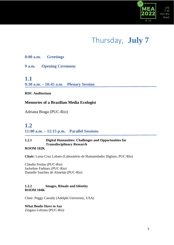

## Thursday, **July 7**

**8:00 a.m. Greetings**

**9 a.m. Opening Ceremony**

### **1.1**

**9:30 a.m. – 10:45 a.m. Plenary Session**

### **RDC Auditorium**

### **Memories of a Brazilian Media Ecologist**

Adriana Braga (PUC-Rio)

### **1.2 11:00 a.m. – 12:15 p.m. Parallel Sessions**

### **1.2.1 Digital Humanities: Challenges and Opportunities for Transdisciplinary Research**

**ROOM 102K**

**Chair:** Luisa Cruz Lobato (Laboratório de Humanidades Digitais, PUC-Rio)

Cláudia Freitas (PUC-Rio) Jackeline Farbiarz (PUC-Rio) Danielle Sanches de Almeida (PUC-Rio)

### **1.2.2 Images, Rituals and Identity ROOM 104K**

Chair: Peggy Cassidy (Adelphi University, USA)

**What Boobs Have to Say** Zingara Lofrano (PUC-Rio)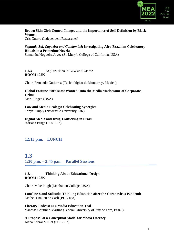

### **Brown Skin Girl: Control Images and the Importance of Self-Definition by Black Women**

Cris Guerra (Independent Researcher)

### *Segundo Sol, Capoeira and Candomblé***: Investigating Afro-Brazilian Celebratory Rituals in a Primetime Novela**

Samantha Nogueira Joyce (St. Mary's College of California, USA)

#### **1.2.3 Explorations in Law and Crime ROOM 105K**

Chair: Fernando Gutierrez (Technológico de Monterrey, Mexico)

#### **Global Fortune 500's Most Wanted: Into the Media Maelstrome of Corporate Crime** Mark Hagen (USA)

**Law and Media Ecology: Celebrating Synergies** Tanya Krupiy (Newcastle University, UK)

**Digital Media and Drug Trafficking in Brazil** Adriana Braga (PUC-Rio)

### **12:15 p.m. LUNCH**

### **1.3 1:30 p.m. – 2:45 p.m. Parallel Sessions**

### **1.3.1 Thinking About Educational Design ROOM 108K**

Chair: Mike Plugh (Manhattan College, USA)

**Loneliness and Solitude: Thinking Education after the Coronavirus Pandemic** Matheus Balieu de Carli (PUC-Rio)

**Literary Podcast as a Media Education Tool** Vanessa Coutinho Martins (Federal University of Juiz de Fora, Brazil)

### **A Proposal of a Conceptual Model for Media Literacy**

Joana Sobral Milliet (PUC-Rio)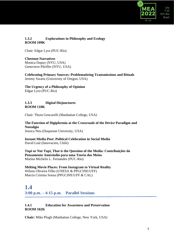

### **1.3.2 Explorations in Philosophy and Ecology ROOM 109K**

Chair: Edgar Lyra (PUC-Rio)

### **Chestnut Narratives**

Monica Dupuy (NYU, USA) Genevieve Pfeiffer (NYU, USA)

**Celebrating Primary Sources: Problematizing Transmissions and Rituals** Jeremy Swartz (University of Oregon, USA)

**The Urgency of a Philosophy of Opinion** Edgar Lyra (PUC-Rio)

### **1.3.3 Digital Disjunctures ROOM 110K**

Chair: Thom Gencarelli (Manhattan College, USA)

**The Function of Digiphrenia at the Crossroads of the Device Paradigm and Nostalgia** Jessica Neu (Duquesne University, USA)

**Instant Media Post: Political Celebration in Social Media** David Leal (Innovacien, Chile)

**Tupi or Not Tupi, That is the Question of the Media: Contribuições do Pensamento Ameríndio para uma Teoria dos Meios** Marina Michelis L. Fernandes (PUC-Rio)

**Melting Movie Places: From Instagram to Virtual Reality** Wilson Oliveira Filho (UNESA & PPGCINE/UFF) Marcia Cristina Sousa (PPGCINE/UFF & CAL)

**1.4 3:00 p.m. – 4:15 p.m. Parallel Sessions**

### **1.4.1 Education for Awareness and Preservation ROOM 102K**

**Chair:** Mike Plugh (Manhattan College, New York, USA)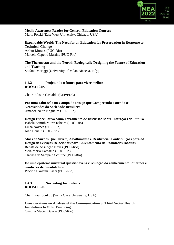

#### **Media Awareness Reader for General Education Courses** Maria Polski (East-West University, Chicago, USA)

### **Expendable World: The Need for an Education for Preservation in Response to Technical Change**

Arthur Moraes (PUC-Rio) Marcelo Capello Martins (PUC-Rio)

### **The Thermostat and the Tetrad: Ecologically Designing the Future of Education and Teaching**

Stefano Moriggi (University of Milan Bicocca, Italy)

### **1.4.2 Projetando o futuro para viver melhor ROOM 104K**

Chair: Édison Gastaldo (CEP/FDC)

**Por uma Educação no Campo do Design que Compreenda e atenda as Necessidades da Sociedade Brasiliera** Amanda Netto Nogueira (PUC-Rio)

**Design Especulativo como Ferramenta de Discussão sobre Interações do Futuro** Isabela Zamith Murta Ribeiro (PUC-Rio) Luiza Novaes (PUC-Rio) João Bonelli (PUC-Rio)

**Mães de Surdos Que Ouvem, Alcolhimento e Resiliência: Contribuições para od Design de Serviços Relacionais para Enrentamento de Realidades Inéditas**

Renata de Assunção Neves (PUC-Rio) Vera Maria Damazio (PUC-Rio) Clarissa de Sampaio Schitine (PUC-Rio)

### **De uma episteme universal questionável à circulação do conhecimento: questões e condições de possibilidade**

Placide Okalema Pashi (PUC-Rio)

### **1.4.3 Navigating Institutions ROOM 105K**

Chair: Paul Soukup (Santa Clara University, USA)

#### **Considerations on Analysis of the Communication of Third Sector Health Institutions to Offer Financing** Cynthia Maciel Duarte (PUC-Rio)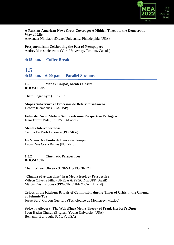

### **A Russian-American News Cross-Coverage: A Hidden Threat to the Democratic Way of Life**

Alexander Nikolaev (Drexel University, Philadelphia, USA)

#### **Postjournalism: Celebrating the Past of Newspapers** Andrey Miroshnichenko (York University, Toronto, Canada)

### **4:15 p.m. Coffee Break**

### **1.5 4:45 p.m. – 6:00 p.m. Parallel Sessions**

### **1.5.1 Mapas, Corpos, Mentes e Artes ROOM 108K**

Chair: Edgar Lyra (PUC-Rio)

**Mapas Subversivos e Processos de Reterritorialização** Débora Klempous (ECA/USP)

**Fator de Risco: Mídia e Saúde sob uma Perspectiva Ecológica** Icaro Ferraz Vidal, Jr. (PNPD-Capes)

### **Mentes Interconectadas**

Camila De Paoli Leporace (PUC-Rio)

### **Gê Viana: Na Ponta de Lança do Tempo**

Lucia Dias Costa Barros (PUC-Rio)

### **1.5.2 Cinematic Perspectives ROOM 109K**

Chair: Wilson Oliveira (UNESA & PGCINE/UFF)

"**Cinema of Attractions" in a Media Ecology Perspective** Wilson Oliveira Filho (UNESA & PPGCINE/UFF, Brazil) Márcia Cristina Sousa (PPGCINE/UFF & CAL, Brazil)

### **Triads in the Kitchen: Rituals of Community during Times of Crisis in the Cinema of Johnnie Toe**

Josué Baruj Gordon Guerrero (Tecnológico de Monterrey, Mexico)

#### **Spice as Allegory: The Weird(ing) Media Theory of Frank Herbert's** *Dune* Scott Haden Church (Brigham Young University, USA) Benjamin Burroughs (UNLV, USA)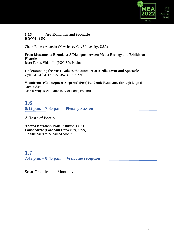

### **1.5.3 Art, Exhibition and Spectacle ROOM 110K**

Chair: Robert Albrecht (New Jersey City University, USA)

### **From Museums to Biennials: A Dialogue between Media Ecology and Exhibition Histories**

Icaro Ferraz Vidal, Jr. (PUC-São Paulo)

**Understanding the MET Gala as the Juncture of Media Event and Spectacle** Cynthia Nahhas (NYU, New York, USA)

**Wonderous (Code)Space: Airports' (Post)Pandemic Resilience through Digital Media Art** Marek Wojtaszek (University of Lodz, Poland)

### **1.6 6:15 p.m. – 7:30 p.m. Plenary Session**

### **A Taste of Poetry**

**Adeena Karasick (Pratt Institute, USA) Lance Strate (Fordham University, USA)** + participants to be named soon!!

### **1.7 7:45 p.m. – 8:45 p.m. Welcome reception**

Solar Grandjean de Montigny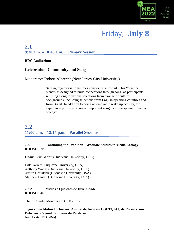

## Friday, **July 8**

### **2.1 9:30 a.m. – 10:45 a.m. Plenary Session**

### **RDC Auditorium**

### **Celebration, Community and Song**

Moderator: Robert Albrecht (New Jersey City University)

Singing together is sometimes considered a lost art. This "practical" plenary is designed to build connections through song, as participants will sing along to various selections from a range of cultural backgrounds, including selections from English-speaking countries and from Brazil. In addition to being an enjoyable wake up activity, the experience promises to reveal important insights in the sphere of media ecology.

### **2.2 11:00 a.m. – 12:15 p.m. Parallel Sessions**

### **2.2.1 Continuing the Tradition: Graduate Studies in Media Ecology ROOM 102K**

**Chair:** Erik Garrett (Duquesne University, USA)

Erik Garrett (Duquesne University, USA) Anthony Wachs (Duquesne University, USA) Austin Hestalden (Duquesne University, USA) Matthew Lindia (Duquesne University, USA)

### **2.2.2 Mídias e Questões de Diversidade ROOM 104K**

Chair: Claudia Montenegro (PUC-Rio)

**Jogos como Mídias Inclusivas: Analíse de Inclusão LGBTQIA+, de Pessoas com Deficiência Visual de Jovens da Periferia** João Léste (PUC-Rio)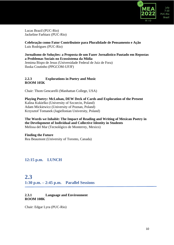

Lucas Brazil (PUC-Rio) Jackeline Farbiarz (PUC-Rio)

### **Celebração como Fator Contribuinte para Pluralidade de Pensamento e Ação** Luis Rodrigues (PUC-Rio)

### **Jornalismo de Soluções: a Proposta de um Fazer Jornalístico Pautado em Repostas a Problemas Sociais no Ecossistema da Mídia**

Jemima Bispo de Jesus (Universidade Federal de Juiz de Fora) Iluska Coutinho (PPGCOM-UFJF)

### **2.2.3 Explorations in Poetry and Music ROOM 105K**

Chair: Thom Gencarelli (Manhattan College, USA)

**Playing Poetry: McLuhan, DEW Deck of Cards and Exploration of the Present** Kalina Kukielko (University of Szczecin, Poland) Adam Mickiewicz (University of Poznan, Poland) Krzysztof Tomanek (Jagiellonian University, Poland)

**The Words we Inhabit: The Impact of Reading and Writing of Mexican Poetry in the Development of Individual and Collective Identity in Students** Melissa del Mar (Tecnológico de Monterrey, Mexico)

### **Finding the Future**

Rea Beaumont (University of Toronto, Canada)

### **12:15 p.m. LUNCH**

### **2.3 1:30 p.m. – 2:45 p.m. Parallel Sessions**

### **2.3.1 Language and Environment ROOM 108K**

Chair: Edgar Lyra (PUC-Rio)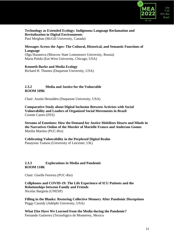

#### **Technology as Extended Ecology: Indigenous Language Reclamation and Revitalization in Digital Environments** Paul Meighan (McGill University, Canada)

### **Messages Across the Ages: The Cultural, Historical, and Semantic Functions of Language**

Olga Hazanova (Moscow State Lomonosov University, Russia) Maria Polski (Eat-West University, Chicago, USA)

#### **Kenneth Burke and Media Ecology**

Richard H. Thames (Duquesne University, USA)

### **2.3.2 Media and Justice for the Vulnerable ROOM 109K**

Chair: Austin Hestalden (Duquesne University, USA)

**Comparative Study about Digital Inclusion Between Activists with Social Vulnerability and Leaders of Organized Social Movements in Brazil** Cosette Castro (FES)

**Streams of Emotions: How the Demand for Justice Mobilizes Hearts and Minds in the Narratives Online of the Murder of Marielle Franco and Anderson Gomes** Marilia Martins (PUC-Rio)

**Celebrating Vulnerability in the Perplexed Digital Realm** Panayiota Tsatsou (University of Leicester, UK)

#### **2.3.3 Explorations in Media and Pandemic ROOM 110K**

Chair: Giselle Ferreira (PUC-Rio)

**Cellphones and COVID-19: The Life Experience of ICU Patients and the Relationships between Family and Friends** Nicolas Bargiela (UNESP)

**Filling in the Blanks: Restoring Collective Memory After Pandemic Disruptions** Peggy Cassidy (Adelphi University, USA)

**What Else Have We Learned from the Media during the Pandemic?** Fernando Gutierrez (Tecnológico de Monterrey, Mexico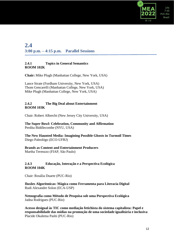

### **2.4 3:00 p.m. – 4:15 p.m. Parallel Sessions**

### **2.4.1 Topics in General Semantics ROOM 102K**

**Chair:** Mike Plugh (Manhattan College, New York, USA)

Lance Strate (Fordham University, New York, USA) Thom Gencarelli (Manhattan College, New York, USA) Mike Plugh (Manhattan College, New York, USA)

#### **2.4.2 The Big Deal about Entertainment ROOM 103K**

Chair: Robert Albrecht (New Jersey City University, USA)

#### **The Super Bowl: Celebration, Community and Affirmation** Perdita Biddlecombe (NYU, USA)

**The New Haunted Media: Imagining Possible Ghosts in Turmoil Times** Diego Paleológo (ECO-UFRJ)

### **Brands as Content and Entertainment Producers**

Martha Terenzzo (FIAP, São Paulo)

### **2.4.3 Educação, Interação e a Perspectiva Ecológica ROOM 104K**

Chair: Rosália Duarte (PUC-Rio)

**Ilusões Algorítmicas: Mágica como Ferramenta para Literacia Digital** Rudi Alexandre Solon (ECA-USP)

**Netnografia como Método de Pesquisa sob uma Perspectiva Ecológica** Jadna Rodrigues (PUC-Rio)

**Acesso desigual às TIC como mediação fetichista do sistema capitalista: Papel e responsabilidade das mídias na promoção de uma sociedade igualitária e inclusiva**  Placide Okalema Pashi (PUC-Rio)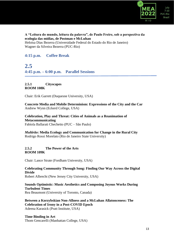

### **A "Leitura do mundo, leitura da palavra", de Paulo Freire, sob a perspectiva da ecologia das mídias, de Postman e McLuhan**

Heloisa Dias Bezerra (Universidade Federal do Estado do Rio de Janeiro) Wagner da Silveira Bezerra (PUC-Rio)

### **4:15 p.m. Coffee Break**

### **2.5**

**4:45 p.m. – 6:00 p.m. Parallel Sessions**

### **2.5.1 Cityscapes ROOM 108K**

Chair: Erik Garrett (Duquesne University, USA)

**Concrete Media and Mobile Determinism: Expressions of the City and the Car** Andrew Wynn (Eckerd College, USA)

**Celebration, Play and Threat: Cities of Animals as a Reanimation of Metacommunicating** Fabíola Ballarati Chechetto (PUC – São Paulo)

*Multirão***: Media Ecology and Communication for Change in the Rural City** Rodrigo Rossi Morelato (Rio de Janeiro State University)

### **2.5.2 The Power of the Arts ROOM 109K**

Chair: Lance Strate (Fordham University, USA)

### **Celebrating Community Through Song: Finding Our Way Across the Digital Divide**

Robert Albrecht (New Jersey City University, USA)

#### **Sounds Optimistic: Music Aesthetics and Composing Joyous Works During Turbulent Times** Rea Beaumont (University of Toronto, Canada)

**Between a Korzybskian Non-Allness and a McLuhan Allatonceness: The Celebration of Irony in a Post-COVID Epoch** Adeena Karasick (Pratt Institute, USA)

**Time Binding in Art** Thom Gencarelli (Manhattan College, USA)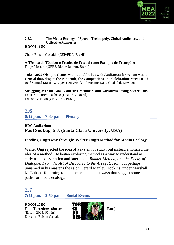

### **2.5.3 The Media Ecology of Sports: Technopoly, Global Audiences, and Collective Memories**

### **ROOM 110K**

Chair: Édison Gastaldo (CEP/FDC, Brazil)

**A Técnica do Técnico: o Técnico de Futebol como Exemplo do Tecnopólio** Filipe Mostaro (UERJ, Rio de Janiero, Brazil)

**Tokyo 2020 Olympic Games without Public but with Audiences: for Whom was it Crucial that, despite the Pandemic, the Competitions and Celebrations were Held?** José Samuel Martinez Lopez (Universidad Iberoamericana Ciudad de Mexico)

**Struggling over the Goal: Collective Memories and Narratives among Soccer Fans** Leonardo Turchi Pacheco (UNIFAL, Brazil) Édison Gastaldo (CEP/FDC, Brazil)

### **2.6 6:15 p.m. – 7:30 p.m. Plenary**

### **RDC Auditorium Paul Soukup, S.J. (Santa Clara University, USA)**

### **Finding Ong's way through: Walter Ong's Method for Media Ecology**

Walter Ong rejected the idea of a system of study, but instead embraced the idea of a method. He began exploring method as a way to understand as early as his dissertation and later book, *Ramus, Method, and the Decay of Dialogue: From the Art of Discourse to the Art of Reason,* but perhaps unnamed in his master's thesis on Gerard Manley Hopkins, under Marshall McLuhan *.* Returning to that theme he hints at ways that suggest some paths for media ecology.

### **2.7**

**7:45 p.m. – 8:50 p.m. Social Events**

**ROOM 102K** (Brazil, 2019, 66min) Director: Édison Gastaldo

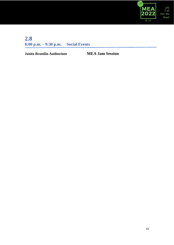

### **2.8 8:00 p.m. – 9:30 p.m. Social Events**

**Junito Brandão Auditorium MEA Jam Session**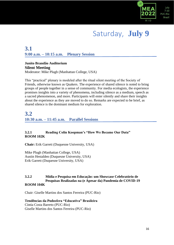

## Saturday, **July 9**

### **3.1 9:00 a.m. – 10:15 a.m. Plenary Session**

### **Junito Brandão Auditorium Silent Meeting**

Moderator: Mike Plugh (Manhattan College, USA)

This "practical" plenary is modeled after the ritual silent meeting of the Society of Friends, otherwise known as Quakers. The experience of shared silence is noted to bring groups of people together in a sense of community. For media ecologists, the experience promises insights into a variety of phenomena, including silence as a medium, speech as a sacred phenomenon, and more. Participants will enter silently and share their insights about the experience as they are moved to do so. Remarks are expected to be brief, as shared silence is the dominant medium for exploration.

### **3.2 10:30 a.m. – 11:45 a.m. Parallel Sessions**

### **3.2.1 Reading Colin Koopman's "How We Became Our Data" ROOM 102K**

**Chair:** Erik Garrett (Duquesne University, USA)

Mike Plugh (Manhattan College, USA) Austin Hestalden (Duquesne University, USA) Erik Garrett (Duquesne University, USA)

#### **3.2.2 Mídia e Pesquisa em Educação: um Showcase Celebratório de Pesquisas Realizadas na (e Apesar da) Pandemia de COVID-19 ROOM 104K**

Chair: Giselle Martins dos Santos Ferreira (PUC-Rio)

**Tendências da Podosfera "Educativa" Brasileira** Cíntia Costa Barreto (PUC-Rio) Giselle Martins dos Santos Ferreira (PUC-Rio)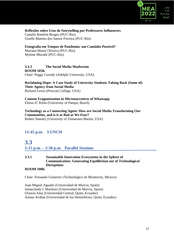

**Reflexões sobre Usos de Storytelling por Professores Influencers** Camilla Bomfim Borges (PUC-Rio) Giselle Martins dos Santos Ferreira (PUC-Rio)

#### **Etnografia em Tempos de Pandemia: um Caminho Possivel?** Mariana Muniz Oliveira (PUC-Rio) Mylene Mizrahi (PUC-Rio)

### **3.2.3 The Social Media Maelstrom**

**ROOM 105K** Chair: Peggy Cassidy (Adelphi University, USA)

**Reclaiming Hope: A Case Study of University Students Taking Back (Some of) Their Agency from Social Media** Richard Lewis (Prescott College, USA)

**Content Fragmentation in Micronarratives of Whatsapp** Eloisa JC Klein (University of Pampa, Brazil)

**Technology as a Connecting Agent: How are Social Media Transforming Our Communities, and is it as Bad as We Fear?** Robert Nanney (University of Tennessee-Martin, USA)

### **11:45 p.m. LUNCH**

### **3.3**

**1:15 p.m. – 2:30 p.m. Parallel Sessions** 

### **3.3.1 Sustainable Innovation Ecosystems in the Sphere of Communication: Generating Equilibrium out of Technological Disruptions**

#### **ROOM 108K**

Chair: Fernando Gutierrez (Technológico de Monterrey, Mexico)

Juan Miguel Aguado (Universidad de Murcia, Spain) Inmaculada J. Martinez (Universidad de Murcia, Spain) Octavio Islas (Universidad Central, Quito, Ecuador) Amaia Arribas (Universidad de los Hemisferios, Quito, Ecuador)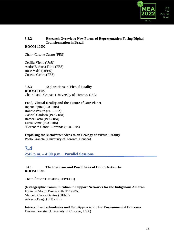

### **3.3.2 Research Overview: New Forms of Representation Facing Digital Transformation in Brazil**

### **ROOM 109K**

Chair: Cosette Castro (FES)

Cecilia Vieira (UnB) André Barbosa Filho (FES) Rose Vidal (UFES) Cosette Castro (FES)

#### **3.3.3 Explorations in Virtual Reality ROOM 110K** Chair: Paolo Granata (University of Toronto, USA)

### **Food, Virtual Reality and the Future of Our Planet**

Rejane Spitz (PUC-Rio) Ronnie Paskin (PUC-Rio) Gabriel Cardoso (PUC-Rio) Rafael Costa (PUC-Rio) Lucia Leme (PUC-Rio) Alexandre Cantini Rezende (PUC-Rio)

#### **Exploring the Metaverse: Steps to an Ecology of Virtual Reality**

Paolo Granata (University of Toronto, Canada)

### **3.4 2:45 p.m. – 4:00 p.m. Parallel Sessions**

### **3.4.1 The Problems and Possibilities of Online Networks ROOM 103K**

Chair: Édison Gastaldo (CEP/FDC)

**(N)etographic Communication in Support Networks for the Indigenous Amazon** Hiran de Moura Possas (UNIFESSPA) Marcelo Carlos Gantos (UENF) Adriana Braga (PUC-Rio)

**Interceptive Technologies and Our Appreciation for Environmental Processes** Desiree Foerster (University of Chicago, USA)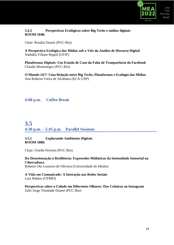

### **3.4.2 Perspectivas Ecológicas sobre Big Techs e mídias digitais ROOM 104K**

Chair: Rosália Duarte (PUC-Rio)

**A Perspectiva Ecológica das Mídias sob o Viés da Análise de Discurso Digital** Nathália Villane Rippel (UFJF)

**Plataformas Digitais: Um Estudo de Caso da Falta de Tranparência do Facebook** Claudia Montenegro (PUC-Rio)

**O Mundo 24/7: Uma Relação entre Big Techs, Plataformas e Ecologia das Mídias** Ana Roberta Vieira de Alcântara (ECA-USP)

**4:00 p.m. Coffee Break**

### **3.5 4:30 p.m. – 5:45 p.m. Parallel Sessions**

### **3.5.1 Explorando Ambientes Digitais ROOM 108K**

Chair: Giselle Ferreira (PUC-Rio)

**Da Desorientação à Resiliência: Expressões Midiáticas da Intensidade Sensorial na Cibercultura** Roberto Oto Loureiro de Oliveira (Universidade do Minho)

**A Vida em Comunicade: A Interação nas Redes Sociais** Luiz Bakker (UFRRJ)

**Perspectivas sobre a Cidade em Diferentes Olhares: Das Crônicas ao Instagram** Julio Jorge Trinidade Duarte (PUC-Rio)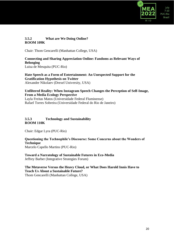

### **3.5.2 What are We Doing Online? ROOM 109K**

Chair: Thom Gencarelli (Manhattan College, USA)

### **Connecting and Sharing Appreciation Online: Fandoms as Relevant Ways of Belonging**

Luisa de Mesquita (PUC-Rio)

**Hate Speech as a Form of Entertainment: An Unexpected Support for the Gratification Hypothesis on Twitter** Alexander Nikolaev (Drexel University, USA)

#### **Unfiltered Reality: When Instagram Speech Changes the Perception of Self-Image, From a Media Ecology Perspective**

Layla Freitas Matos (Universidade Federal Fluminense) Rafael Torres Sobreira (Universidade Federal do Rio de Janeiro)

### **3.5.3 Technology and Sustainability ROOM 110K**

Chair: Edgar Lyra (PUC-Rio)

**Questioning the Technophile's Discourse: Some Concerns about the Wonders of Technique** Marcelo Capello Martins (PUC-Rio)

**Toward a Narratology of Sustainable Futures in Eco-Media** Jeffrey Barber (Integrative Strategies Forum)

### **The Metaverse Versus the Heavy Cloud, or What Does Harold Innis Have to Teach Us About a Sustainable Future?**

Thom Gencarelli (Manhattan College, USA)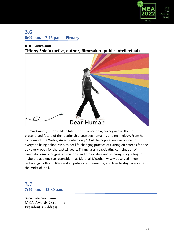

### **3.6 6:00 p.m. – 7:15 p.m. Plenary**

### **RDC Auditorium Tiffany Shlain (artist, author, filmmaker, public intellectual)**



In *Dear Human*, Tiffany Shlain takes the audience on a journey across the past, present, and future of the relationship between humanity and technology. From her founding of The Webby Awards when only 1% of the population was online, to everyone being online 24/7, to her life-changing practice of turning off screens for one day every week for the past 13 years, Tiffany uses a captivating combination of cinematic visuals, original animations, and provocative and inspiring storytelling to invite the audience to reconsider – as Marshall McLuhan wisely observed – how technology both amplifies and amputates our humanity, and how to stay balanced in the midst of it all.

### **3.7 7:40 p.m. – 12:30 a.m.**

**Sociedade Germania** MEA Awards Ceremony President´s Address